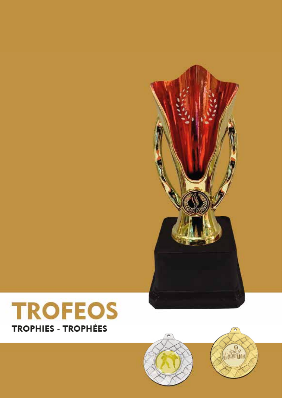



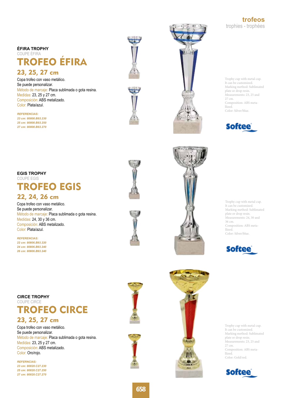**trofeos** trophies - trophées

# **ÉFIRA TROPHY** COUPE ÉFIRA TROFEO ÉFIRA

# 23, 25, 27 cm

Copa trofeo con vaso metálico. Se puede personalizar. Método de marcaje: Placa sublimada o gota resina. Medidas: 23, 25 y 27 cm. Composición: ABS metalizado. Color: Plata/azul.

*REFERENCIAS: 23 cm: 80800.B93.230 25 cm: 80800.B93.250 27 cm: 80800.B93.270*





Trophy cup with metal cup. It can be customized. Marking method: Sublimated plate or drop resin. Measurements: 23, 25 and 27 cm. Composition: ABS meta llized. Color: Silver/blue.



**EGIS TROPHY** COUPE EGIS TROFEO EGIS 22, 24, 26 cm

Copa trofeo con vaso metálico. Se puede personalizar. Método de marcaje: Placa sublimada o gota resina. Medidas: 24, 30 y 36 cm. Composición: ABS metalizado. Color: Plata/azul.

*REFERENCIAS: 22 cm: 80806.B93.220 24 cm: 80806.B93.240 26 cm: 80806.B93.240*







**CIRCE TROPHY** COUPE CIRCE

# 23, 25, 27 cm TROFEO CIRCE

Copa trofeo con vaso metálico. Se puede personalizar. Método de marcaje: Placa sublimada o gota resina. Medidas: 23, 25 y 27 cm. Composición: ABS metalizado. Color: Oro/rojo.

*REFERNCIAS: 23 cm: 80820.C27.230 25 cm: 80820.C27.250 27 cm: 80820.C27.270*







Trophy cup with metal cup. It can be customized. Marking method: Sublimated plate or drop resin. Measurements: 23, 25 and 27 cm. Composition: ABS meta llized. Color: Gold/red.

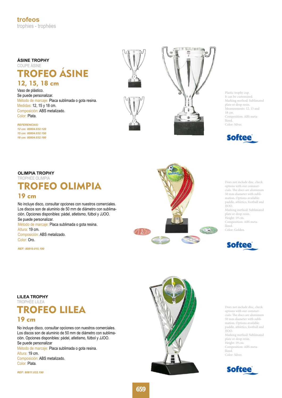## **ÁSINE TROPHY** COUPE ÁSINE TROFEO ÁSINE 12, 15, 18 cm

#### Vaso de plástico. Se puede personalizar. Método de marcaje: Placa sublimada o gota resina. Medidas: 12, 15 y 18 cm. Composición: ABS metalizado.

*REFERENCIAS: 12 cm: 80804.032.120 15 cm: 80804.032.150 18 cm: 80804.032.180*

Color: Plata.







Plastic trophy cup. It can be customized. Marking method: Sublimated plate or drop resin. Measurements: 12, 15 and 18 cm. Composition: ABS metallized. Color: Silver.



**OLIMPIA TROPHY**  TROPHÉE OLIMPIA TROFEO OLIMPIA 19 cm

No incluye disco, consultar opciones con nuestros comerciales. Los discos son de aluminio de 50 mm de diámetro con sublimación. Opciones disponibles: pádel, atletismo, fútbol y JJOO. Se puede personalizar. Método de marcaje: Placa sublimada o gota resina.

Altura: 19 cm. Composición: ABS metalizado. Color: Oro.

*REF: 80810.015.190*



Does not include disc, check options with our commercials. The discs are aluminum 50 mm diameter with sublimation. Options available: paddle, athletics, football and JJOO. Marking method: Sublimated plate or drop resin.

Height: 19 cm. Composition: ABS metallized. Color: Golden.



**LILEA TROPHY**  TROPHÉE LILEA



### 19 cm

No incluye disco, consultar opciones con nuestros comerciales. Los discos son de aluminio de 50 mm de diámetro con sublimación. Opciones disponibles: pádel, atletismo, fútbol y JJOO. Se puede personalizar Método de marcaje: Placa sublimada o gota resina. Altura: 19 cm.

Composición: ABS metalizado. Color: Plata.

*REF: 80811.032.190*



Does not include disc, check options with our commercials. The discs are aluminum 50 mm diameter with sublimation. Options available: paddle, athletics, football and JJOO. Marking method: Sublimated plate or drop resin. Height: 19 cm. Composition: ABS metallized. Color: Silver.

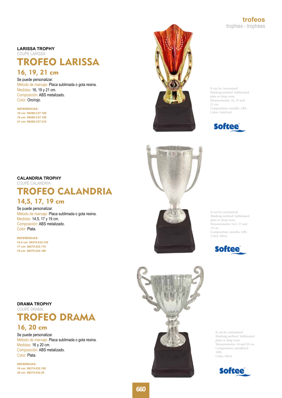**trofeos** trophies - trophées

#### **LARISSA TROPHY**

COUPE LARISSA

# TROFEO LARISSA

# 16, 19, 21 cm

Se puede personalizar. Método de marcaje: Placa sublimada o gota resina. Medidas: 16, 19 y 21 cm. Composición: ABS metalizado. Color: Oro/rojo.

*REFERENCIAS: 16 cm: 99269.C27.160 19 cm: 99269.C27.190 21 cm: 99269.C27.210*



It can be customized. Marking method: Sublimated plate or drop resin. Measurements: 16, 19 and 21 cm. Composition: metallic ABS. Color: Gold/red.



#### **CALANDRIA TROPHY**

COUPE CALANDRIA

# TROFEO CALANDRIA

# 14,5, 17, 19 cm

Se puede personalizar. Método de marcaje: Placa sublimada o gota resina. Medidas: 14,5, 17 y 19 cm. Composición: ABS metalizado. Color: Plata.

*REFERENCIAS: 14,5 cm: 99270.032.145 17 cm: 99270.032.170 19 cm: 99270.032.190*

**DRAMA TROPHY** COUPE DRAMA

It can be customized. Marking method: Sublimated plate or drop resin. Measurements: 14,5, 17 and 19 cm. Composition: metallic ABS. Color: Silver.



It can be customized. Marking method: Sublimated plate or drop resin. Measurements: 16 and 20 cm. Composition: metallized ABS. Color: Silver.

**Softee** 

# 16, 20 cm TROFEO DRAMA

Se puede personalizar. Método de marcaje: Placa sublimada o gota resina. Medidas: 16 y 20 cm. Composición: ABS metalizado. Color: Plata.

*REFERNCIAS: 16 cm: 99274.032.160 20 cm: 99274.032.20*



**660**

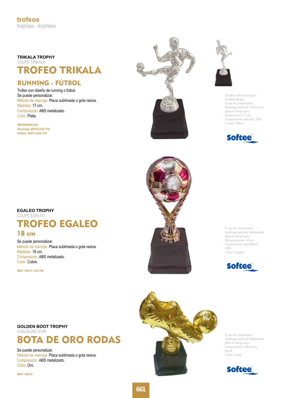## **TRIKALA TROPHY** COUPE TRIKALA TROFEO TRIKALA

# RUNNING - FÚTBOL

Trofeo con diseño de running o fútbol. Se puede personalizar. Método de marcaje: Placa sublimada o gota resina. Medidas: 17 cm. Composición: ABS metalizado. Color: Plata.

*REFERENCIAS: Running: 99272.032.170 Fútbol: 99273.032.170*





Trophy with running or football design. It can be customized. Marking method: Sublimated plate or drop resin. Dimensions: 17 cm. Composition: metallic ABS. Colour: Silver.



## **EGALEO TROPHY**  COUPE EGALEO TROFEO EGALEO

### 18 cm

Se puede personalizar. Método de marcaje: Placa sublimada o gota resina. Medidas: 18 cm. Composición: ABS metalizado. Color: Cobre.

*REF: 99271.139.180*

### **GOLDEN BOOT TROPHY**  CHAUSURE D'OR BOTA DE ORO RODAS

Se puede personalizar. Método de marcaje: Placa sublimada o gota resina. Composición: ABS metalizado. Color: Oro.

*REF: 99275*



It can be customized. Marking method: Sublimated plate or drop resin. Measurements: 18 cm. Composition: metallized ABS. Color: Copper.





It can be customized. Marking method: Sublimated plate or drop resin. Composition: ABS metallized. Color: Gold.

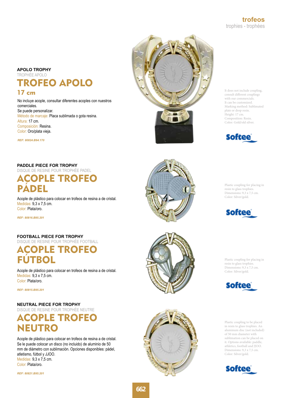#### **APOLO TROPHY** TROPHÉE APOLO

TROFEO APOLO

### 17 cm

No incluye acople, consultar diferentes acoples con nuestros comerciales. Se puede personalizar. Método de marcaje: Placa sublimada o gota resina. Altura: 17 cm. Composición: Resina. Color: Oro/plata vieja.

*REF: 80824.B94.170*

#### **PADDLE PIECE FOR TROPHY**

DISQUE DE RESINE POUR TROPHÉE PADEL

# ACOPLE TROFEO PÁDEL

Acople de plástico para colocar en trofeos de resina a de cristal. Medidas: 9,3 x 7,5 cm. Color: Plata/oro.

*REF: 80816.B95.201*

#### **FOOTBALL PIECE FOR TROPHY**  DISQUE DE RESINE POUR TROPHÉE FOOTBALL

ACOPLE TROFEO FÚTBOL

Acople de plástico para colocar en trofeos de resina a de cristal. Medidas: 9,3 x 7,5 cm. Color: Plata/oro.

*REF: 80815.B95.201*

### **NEUTRAL PIECE FOR TROPHY**

DISQUE DE RESINE POUR TROPHÉE NEUTRE

# ACOPLE TROFEO NEUTRO

Acople de plástico para colocar en trofeos de resina a de cristal. Se le puede colocar un disco (no incluido) de aluminio de 50 mm de diámetro con sublimación. Opciones disponibles: pádel, atletismo, fútbol y JJOO. Medidas: 9,3 x 7,5 cm. Color: Plata/oro.

*REF: 80821.B95.201*





Plastic coupling for placing in resin to glass trophies. Dimensions: 9,3 x 7,5 cm. Color: Silver/gold.



Plastic coupling for placing in resin to glass trophies. Dimensions: 9,3 x 7,5 cm. Color: Silver/gold.



Plastic coupling to be placed in resin to glass trophies. An aluminum disc (not included) of 50 mm diameter with sublimation can be placed on it. Options available: paddle, athletics, football and JJOO. Dimensions: 9,3 x 7,5 cm. Color: Silver/gold.





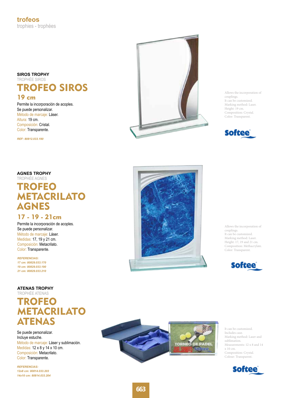#### **SIROS TROPHY** TROPHÉE SIROS

TROFEO SIROS

### 19 cm

Permite la incorporación de acoples. Se puede personalizar. Método de marcaje: Láser. Altura: 19 cm. Composición: Cristal. Color: Transparente.

*REF: 80812.033.190*

Allows the incorporation of couplings. It can be customized. Marking method: Laser. Height: 19 cm. Composition: Crystal. Color: Transparent.



### **AGNES TROPHY**

# TROPHÉE AGNES TROFEO **METACRILATO** AGNES

### 17 - 19 - 21cm

Permite la incorporación de acoples. Se puede personalizar. Método de marcaje: Láser. Medidas: 17, 19 y 21 cm. Composición: Metacrilato. Color: Transparente.

*REFERENCIAS: 17 cm: 80829.033.170 19 cm: 80829.033.190 21 cm: 80829.033.210*

### **ATENAS TROPHY**

TROPHÉE ATENAS

# TROFEO METACRILATO ATENAS

Se puede personalizar. Incluye estuche. Método de marcaje: Láser y sublimación. Medidas: 12 x 8 y 14 x 10 cm. Composición: Metacrilato. Color: Transparente.

*REFERENCIAS: 12x8 cm: 80814.033.203 14x10 cm: 80814.033.204*



Allows the incorporation of couplings. It can be customized. Marking method: Laser. Height: 17, 19 and 21 cm. Composition: Methacrylate. Color: Transparent.





It can be customized. Includes case. Marking method: Laser and sublimation. Measurements: 12 x 8 and 14 x 10 cm. Composition: Crystal. Colour: Transparent.

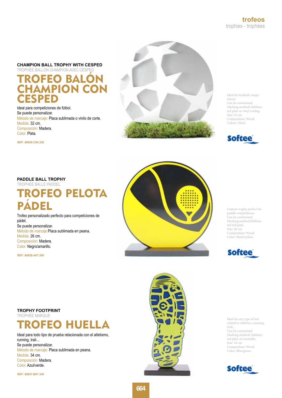**CHAMPION BALL TROPHY WITH CESPED** 

TROPHÉE BALLON CHAMPION AVEC CESPED TROFEO BALÓN **HAMPION CON CESPED** 

Ideal para competiciones de fútbol. Se puede personalizar. Método de marcaje: Placa sublimada o vinilo de corte. Medida: 32 cm. Composición: Madera. Color: Plata.

*REF: 80826.C94.320*



Ideal for football competitions. Can be customized. Marking method: Sublimated plate or vinyl cutting. Size: 32 cm. Composition: Wood. Colour: Silver.



#### **PADDLE BALL TROPHY**

TROPHÉE BALLE PADDEL

# TROFEO PELOTA PÁDEL

Trofeo personalizado perfecto para competiciones de pádel. Se puede personalizar. Método de marcaje:Placa sublimada en peana. Medida: 26 cm. Composición: Madera. Color: Negro/amarillo.

*REF: 80828.A07.260*



Custom trophy perfect for paddle competitions. Can be customized. Marking method:Sublimated toll plate. Size: 26 cm. Composition: Wood. Color: Black/yellow.



**TROPHY FOOTPRINT**  TROPHÉE MARQUE



Ideal para todo tipo de prueba relacionada con el atletismo, running, trail... Se puede personalizar. Método de marcaje: Placa sublimada en peana. Medida: 34 cm. Composición: Madera. Color: Azul/verde.

*REF: 80827.B07.340*



Ideal for any type of test related to athletics, running, trail... Can be customized. Marking method: Sublimated plate on turntable. Size: 34 cm. Composition: Wood. Color: Blue/green.

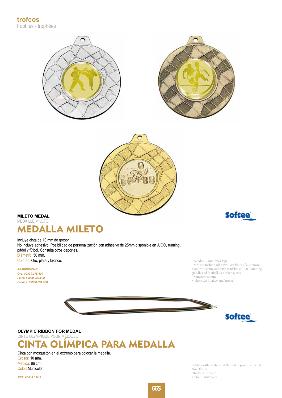





### **MILETO MEDAL**  MEDAILLE MILETO MEDALLA MILETO

Incluye cinta de 10 mm de grosor. No incluye adhesivo. Posibilidad de personalización con adhesivo de 25mm disponible en JJOO, running, pádel y fútbol. Consulta otros deportes. Diámetro: 50 mm. Colores: Oro, plata y bronce.

*REFERENCIAS: Oro: 80830.015.500 Plata: 80830.032.500 Bronce: 80830.091.500* **Softee** 

Includes 10 mm thick tape. Does not include adhesive. Possibility of customization with 25mm adhesive available in JJOO, running, paddle and football. See other sports. Diameter: 50 mm.

Colors: Gold, silver and bronze.





**OLYMPIC RIBBON FOR MEDAL** 

CINTE OLYMPIQUE POUR MÉDALLE



Cinta con mosquetón en el extremo para colocar la medalla. Grosor: 10 mm. Medida: 86 cm. Color: Multicolor.

*REF: 80818.030.3*

Ribbon with carabiner at the end to place the medal. Size: 86 cm. Thickness: 10 mm. Colour: Multicolor.